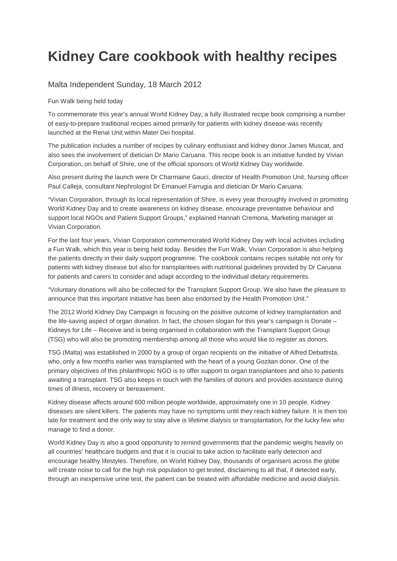## **Kidney Care cookbook with healthy recipes**

## Malta Independent Sunday, 18 March 2012

Fun Walk being held today

To commemorate this year's annual World Kidney Day, a fully illustrated recipe book comprising a number of easy-to-prepare traditional recipes aimed primarily for patients with kidney disease was recently launched at the Renal Unit within Mater Dei hospital.

The publication includes a number of recipes by culinary enthusiast and kidney donor James Muscat, and also sees the involvement of dietician Dr Mario Caruana. This recipe book is an initiative funded by Vivian Corporation, on behalf of Shire, one of the official sponsors of World Kidney Day worldwide.

Also present during the launch were Dr Charmaine Gauci, director of Health Promotion Unit, Nursing officer Paul Calleja, consultant Nephrologist Dr Emanuel Farrugia and dietician Dr Mario Caruana.

"Vivian Corporation, through its local representation of Shire, is every year thoroughly involved in promoting World Kidney Day and to create awareness on kidney disease, encourage preventative behaviour and support local NGOs and Patient Support Groups," explained Hannah Cremona, Marketing manager at Vivian Corporation.

For the last four years, Vivian Corporation commemorated World Kidney Day with local activities including a Fun Walk, which this year is being held today. Besides the Fun Walk, Vivian Corporation is also helping the patients directly in their daily support programme. The cookbook contains recipes suitable not only for patients with kidney disease but also for transplantees with nutritional guidelines provided by Dr Caruana for patients and carers to consider and adapt according to the individual dietary requirements.

"Voluntary donations will also be collected for the Transplant Support Group. We also have the pleasure to announce that this important initiative has been also endorsed by the Health Promotion Unit."

The 2012 World Kidney Day Campaign is focusing on the positive outcome of kidney transplantation and the life-saving aspect of organ donation. In fact, the chosen slogan for this year's campaign is Donate – Kidneys for Life – Receive and is being organised in collaboration with the Transplant Support Group (TSG) who will also be promoting membership among all those who would like to register as donors.

TSG (Malta) was established in 2000 by a group of organ recipients on the initiative of Alfred Debattista, who, only a few months earlier was transplanted with the heart of a young Gozitan donor. One of the primary objectives of this philanthropic NGO is to offer support to organ transplantees and also to patients awaiting a transplant. TSG also keeps in touch with the families of donors and provides assistance during times of illness, recovery or bereavement.

Kidney disease affects around 600 million people worldwide, approximately one in 10 people. Kidney diseases are silent killers. The patients may have no symptoms until they reach kidney failure. It is then too late for treatment and the only way to stay alive is lifetime dialysis or transplantation, for the lucky few who manage to find a donor.

World Kidney Day is also a good opportunity to remind governments that the pandemic weighs heavily on all countries' healthcare budgets and that it is crucial to take action to facilitate early detection and encourage healthy lifestyles. Therefore, on World Kidney Day, thousands of organisers across the globe will create noise to call for the high risk population to get tested, disclaiming to all that, if detected early, through an inexpensive urine test, the patient can be treated with affordable medicine and avoid dialysis.